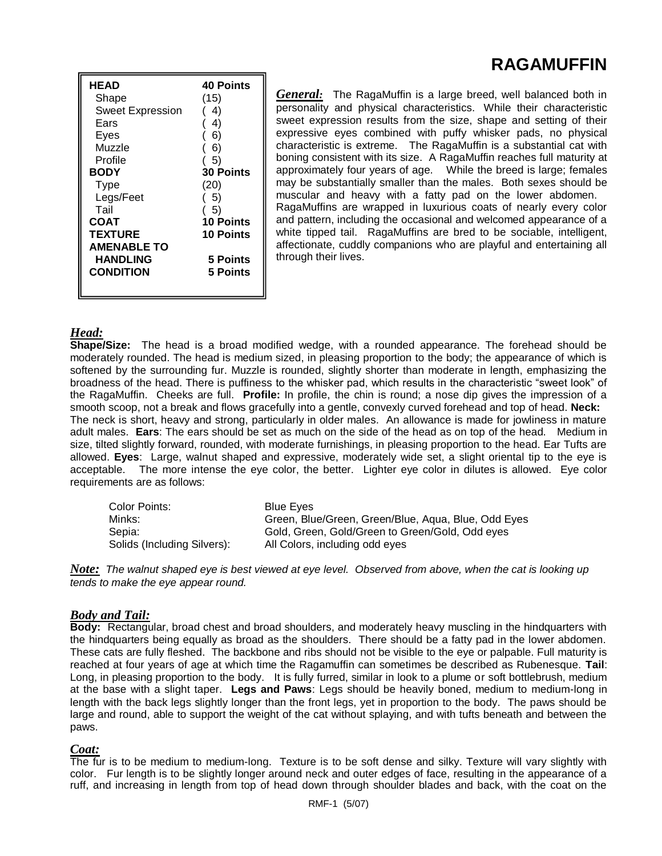# **RAGAMUFFIN**

| <b>HEAD</b>             | <b>40 Points</b> |
|-------------------------|------------------|
| Shape                   | (15)             |
| <b>Sweet Expression</b> | 4)               |
| Ears                    | 4)               |
| Eyes                    | 6)               |
| Muzzle                  | 6)               |
| Profile                 | - 5)             |
| <b>BODY</b>             | <b>30 Points</b> |
| Type                    | (20)             |
| Legs/Feet               | (5)              |
| Tail                    | (5)              |
| COAT                    | <b>10 Points</b> |
| <b>TEXTURE</b>          | 10 Points        |
| <b>AMENABLE TO</b>      |                  |
| <b>HANDLING</b>         | 5 Points         |
| <b>CONDITION</b>        | <b>5 Points</b>  |
|                         |                  |

*General:* The RagaMuffin is a large breed, well balanced both in personality and physical characteristics. While their characteristic sweet expression results from the size, shape and setting of their expressive eyes combined with puffy whisker pads, no physical characteristic is extreme. The RagaMuffin is a substantial cat with boning consistent with its size. A RagaMuffin reaches full maturity at approximately four years of age. While the breed is large; females may be substantially smaller than the males. Both sexes should be muscular and heavy with a fatty pad on the lower abdomen. RagaMuffins are wrapped in luxurious coats of nearly every color and pattern, including the occasional and welcomed appearance of a white tipped tail. RagaMuffins are bred to be sociable, intelligent, affectionate, cuddly companions who are playful and entertaining all through their lives.

# *Head:*

**Shape/Size:** The head is a broad modified wedge, with a rounded appearance. The forehead should be moderately rounded. The head is medium sized, in pleasing proportion to the body; the appearance of which is softened by the surrounding fur. Muzzle is rounded, slightly shorter than moderate in length, emphasizing the broadness of the head. There is puffiness to the whisker pad, which results in the characteristic "sweet look" of the RagaMuffin. Cheeks are full. **Profile:** In profile, the chin is round; a nose dip gives the impression of a smooth scoop, not a break and flows gracefully into a gentle, convexly curved forehead and top of head. **Neck:** The neck is short, heavy and strong, particularly in older males. An allowance is made for jowliness in mature adult males. **Ears**: The ears should be set as much on the side of the head as on top of the head. Medium in size, tilted slightly forward, rounded, with moderate furnishings, in pleasing proportion to the head. Ear Tufts are allowed. **Eyes**: Large, walnut shaped and expressive, moderately wide set, a slight oriental tip to the eye is acceptable. The more intense the eye color, the better. Lighter eye color in dilutes is allowed. Eye color requirements are as follows:

| Color Points:               | <b>Blue Eves</b>                                    |
|-----------------------------|-----------------------------------------------------|
| Minks:                      | Green, Blue/Green, Green/Blue, Agua, Blue, Odd Eyes |
| Sepia:                      | Gold, Green, Gold/Green to Green/Gold, Odd eyes     |
| Solids (Including Silvers): | All Colors, including odd eyes                      |

*Note: The walnut shaped eye is best viewed at eye level. Observed from above, when the cat is looking up tends to make the eye appear round.* 

## *Body and Tail:*

**Body:** Rectangular, broad chest and broad shoulders, and moderately heavy muscling in the hindquarters with the hindquarters being equally as broad as the shoulders. There should be a fatty pad in the lower abdomen. These cats are fully fleshed. The backbone and ribs should not be visible to the eye or palpable. Full maturity is reached at four years of age at which time the Ragamuffin can sometimes be described as Rubenesque. **Tail**: Long, in pleasing proportion to the body. It is fully furred, similar in look to a plume or soft bottlebrush, medium at the base with a slight taper. **Legs and Paws**: Legs should be heavily boned, medium to medium-long in length with the back legs slightly longer than the front legs, yet in proportion to the body. The paws should be large and round, able to support the weight of the cat without splaying, and with tufts beneath and between the paws.

#### *Coat:*

The fur is to be medium to medium-long. Texture is to be soft dense and silky. Texture will vary slightly with color. Fur length is to be slightly longer around neck and outer edges of face, resulting in the appearance of a ruff, and increasing in length from top of head down through shoulder blades and back, with the coat on the